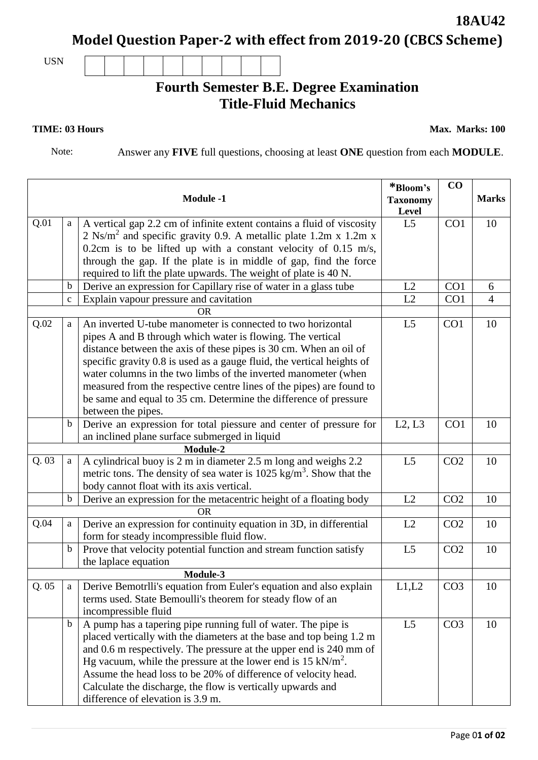**Model Question Paper-2 with effect from 2019-20 (CBCS Scheme)**

USN

## **Fourth Semester B.E. Degree Examination Title-Fluid Mechanics**

**TIME: 03 Hours** Max. Marks: 100

**18AU42**

Note: Answer any **FIVE** full questions, choosing at least **ONE** question from each **MODULE**.

| <b>Module -1</b> |             |                                                                                | *Bloom's<br><b>Taxonomy</b><br>Level | $\bf CO$        | <b>Marks</b>   |
|------------------|-------------|--------------------------------------------------------------------------------|--------------------------------------|-----------------|----------------|
| Q.01             | a           | A vertical gap 2.2 cm of infinite extent contains a fluid of viscosity         | L <sub>5</sub>                       | CO <sub>1</sub> | 10             |
|                  |             | 2 Ns/m <sup>2</sup> and specific gravity 0.9. A metallic plate 1.2m x 1.2m x   |                                      |                 |                |
|                  |             | 0.2cm is to be lifted up with a constant velocity of 0.15 m/s,                 |                                      |                 |                |
|                  |             | through the gap. If the plate is in middle of gap, find the force              |                                      |                 |                |
|                  |             | required to lift the plate upwards. The weight of plate is 40 N.               |                                      |                 |                |
|                  | $\mathbf b$ | Derive an expression for Capillary rise of water in a glass tube               | L2                                   | CO <sub>1</sub> | 6              |
|                  | $\mathbf c$ | Explain vapour pressure and cavitation                                         | L2                                   | CO <sub>1</sub> | $\overline{4}$ |
| <b>OR</b>        |             |                                                                                |                                      |                 |                |
| Q.02             | a           | An inverted U-tube manometer is connected to two horizontal                    | L <sub>5</sub>                       | CO1             | 10             |
|                  |             | pipes A and B through which water is flowing. The vertical                     |                                      |                 |                |
|                  |             | distance between the axis of these pipes is 30 cm. When an oil of              |                                      |                 |                |
|                  |             | specific gravity 0.8 is used as a gauge fluid, the vertical heights of         |                                      |                 |                |
|                  |             | water columns in the two limbs of the inverted manometer (when                 |                                      |                 |                |
|                  |             | measured from the respective centre lines of the pipes) are found to           |                                      |                 |                |
|                  |             | be same and equal to 35 cm. Determine the difference of pressure               |                                      |                 |                |
|                  |             | between the pipes.                                                             |                                      |                 |                |
|                  | $\mathbf b$ | Derive an expression for total piessure and center of pressure for             | L2, L3                               | CO <sub>1</sub> | 10             |
|                  |             | an inclined plane surface submerged in liquid                                  |                                      |                 |                |
| Module-2         |             |                                                                                |                                      |                 |                |
| Q.03             | a           | A cylindrical buoy is 2 m in diameter 2.5 m long and weighs 2.2                | L <sub>5</sub>                       | CO <sub>2</sub> | 10             |
|                  |             | metric tons. The density of sea water is $1025 \text{ kg/m}^3$ . Show that the |                                      |                 |                |
|                  |             | body cannot float with its axis vertical.                                      |                                      |                 |                |
|                  | $\mathbf b$ | Derive an expression for the metacentric height of a floating body             | L2                                   | CO <sub>2</sub> | 10             |
| 0 <sub>R</sub>   |             |                                                                                |                                      |                 |                |
| Q.04             | a           | Derive an expression for continuity equation in 3D, in differential            | L2                                   | CO <sub>2</sub> | 10             |
|                  |             | form for steady incompressible fluid flow.                                     |                                      |                 |                |
|                  | $\mathbf b$ | Prove that velocity potential function and stream function satisfy             | L <sub>5</sub>                       | CO <sub>2</sub> | 10             |
|                  |             | the laplace equation                                                           |                                      |                 |                |
|                  |             | Module-3                                                                       |                                      |                 |                |
| Q.05             |             | Derive Bemotrlli's equation from Euler's equation and also explain             | L1,L2                                | CO <sub>3</sub> | 10             |
|                  |             | terms used. State Bemoulli's theorem for steady flow of an                     |                                      |                 |                |
|                  |             | incompressible fluid                                                           |                                      |                 |                |
|                  | $\mathbf b$ | A pump has a tapering pipe running full of water. The pipe is                  | L <sub>5</sub>                       | CO <sub>3</sub> | 10             |
|                  |             | placed vertically with the diameters at the base and top being 1.2 m           |                                      |                 |                |
|                  |             | and 0.6 m respectively. The pressure at the upper end is 240 mm of             |                                      |                 |                |
|                  |             | Hg vacuum, while the pressure at the lower end is $15 \text{ kN/m}^2$ .        |                                      |                 |                |
|                  |             | Assume the head loss to be 20% of difference of velocity head.                 |                                      |                 |                |
|                  |             | Calculate the discharge, the flow is vertically upwards and                    |                                      |                 |                |
|                  |             | difference of elevation is 3.9 m.                                              |                                      |                 |                |